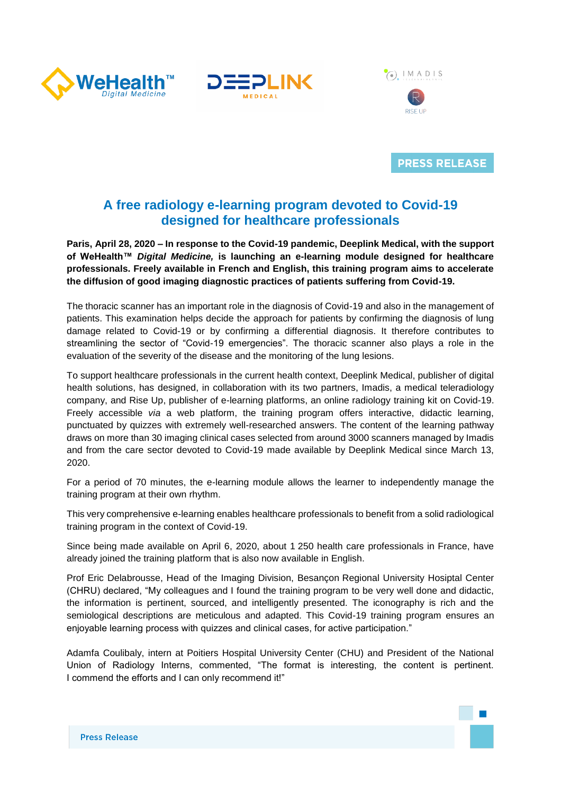



 $\circ$  IMADIS



**PRESS RELEASE** 

## **A free radiology e-learning program devoted to Covid-19 designed for healthcare professionals**

**Paris, April 28, 2020 – In response to the Covid-19 pandemic, Deeplink Medical, with the support of WeHealth™** *Digital Medicine,* **is launching an e-learning module designed for healthcare professionals. Freely available in French and English, this training program aims to accelerate the diffusion of good imaging diagnostic practices of patients suffering from Covid-19.** 

The thoracic scanner has an important role in the diagnosis of Covid-19 and also in the management of patients. This examination helps decide the approach for patients by confirming the diagnosis of lung damage related to Covid-19 or by confirming a differential diagnosis. It therefore contributes to streamlining the sector of "Covid-19 emergencies". The thoracic scanner also plays a role in the evaluation of the severity of the disease and the monitoring of the lung lesions.

To support healthcare professionals in the current health context, Deeplink Medical, publisher of digital health solutions, has designed, in collaboration with its two partners, Imadis, a medical teleradiology company, and Rise Up, publisher of e-learning platforms, an online radiology training kit on Covid-19. Freely accessible *via* a web platform, the training program offers interactive, didactic learning, punctuated by quizzes with extremely well-researched answers. The content of the learning pathway draws on more than 30 imaging clinical cases selected from around 3000 scanners managed by Imadis and from the care sector devoted to Covid-19 made available by Deeplink Medical since March 13, 2020.

For a period of 70 minutes, the e-learning module allows the learner to independently manage the training program at their own rhythm.

This very comprehensive e-learning enables healthcare professionals to benefit from a solid radiological training program in the context of Covid-19.

Since being made available on April 6, 2020, about 1 250 health care professionals in France, have already joined the training platform that is also now available in English.

Prof Eric Delabrousse, Head of the Imaging Division, Besançon Regional University Hosiptal Center (CHRU) declared, "My colleagues and I found the training program to be very well done and didactic, the information is pertinent, sourced, and intelligently presented. The iconography is rich and the semiological descriptions are meticulous and adapted. This Covid-19 training program ensures an enjoyable learning process with quizzes and clinical cases, for active participation."

Adamfa Coulibaly, intern at Poitiers Hospital University Center (CHU) and President of the National Union of Radiology Interns, commented, "The format is interesting, the content is pertinent. I commend the efforts and I can only recommend it!"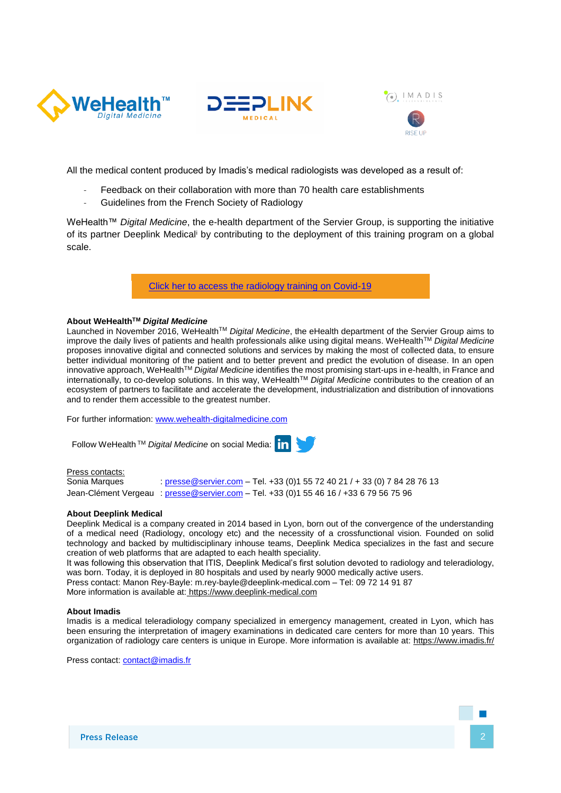





**RISE UF** 

All the medical content produced by Imadis's medical radiologists was developed as a result of:

- Feedback on their collaboration with more than 70 health care establishments
- Guidelines from the French Society of Radiology

WeHealth™ *Digital Medicine*, the e-health department of the Servier Group, is supporting the initiative of its partner Deeplink Medical<sup>i</sup> by contributing to the deployment of this training program on a global scale.

[Click her to access the radiology training on Covid-19](https://covid19-formation.riseup.ai/Account/login)

#### **About WeHealthTM** *Digital Medicine*

Launched in November 2016, WeHealth<sup>™</sup> Digital Medicine, the eHealth department of the Servier Group aims to improve the daily lives of patients and health professionals alike using digital means. WeHealthTM *Digital Medicine* proposes innovative digital and connected solutions and services by making the most of collected data, to ensure better individual monitoring of the patient and to better prevent and predict the evolution of disease. In an open innovative approach, WeHealthTM *Digital Medicine* identifies the most promising start-ups in e-health, in France and internationally, to co-develop solutions. In this way, WeHealthTM *Digital Medicine* contributes to the creation of an ecosystem of partners to facilitate and accelerate the development, industrialization and distribution of innovations and to render them accessible to the greatest number.

For further information: [www.wehealth-digitalmedicine.com](http://www.wehealth-digitalmedicine.com/)

Follow WeHealth TM *Digital Medicine* on social Media:

# Press contacts:

Sonia Marques : [presse@servier.com](mailto:media@servier.com) - Tel. +33 (0)1 55 72 40 21 / + 33 (0) 7 84 28 76 13 Jean-Clément Vergeau : [presse@servier.com](mailto:presse@servier.com) - Tel. +33 (0)1 55 46 16 / +33 6 79 56 75 96

#### **About Deeplink Medical**

Deeplink Medical is a company created in 2014 based in Lyon, born out of the convergence of the understanding of a medical need (Radiology, oncology etc) and the necessity of a crossfunctional vision. Founded on solid technology and backed by multidisciplinary inhouse teams, Deeplink Medica specializes in the fast and secure creation of web platforms that are adapted to each health speciality.

It was following this observation that ITIS, Deeplink Medical's first solution devoted to radiology and teleradiology, was born. Today, it is deployed in 80 hospitals and used by nearly 9000 medically active users.

Press contact: Manon Rey-Bayle: m.rey-bayle@deeplink-medical.com – Tel: 09 72 14 91 87

More information is available at: [https://www.deeplink-medical.com](https://www.deeplink-medical.com/filiere-covid-19/)

#### **About Imadis**

Imadis is a medical teleradiology company specialized in emergency management, created in Lyon, which has been ensuring the interpretation of imagery examinations in dedicated care centers for more than 10 years. This organization of radiology care centers is unique in Europe. More information is available at:<https://www.imadis.fr/>

Press contact: [contact@imadis.fr](mailto:contact@imadis.fr)